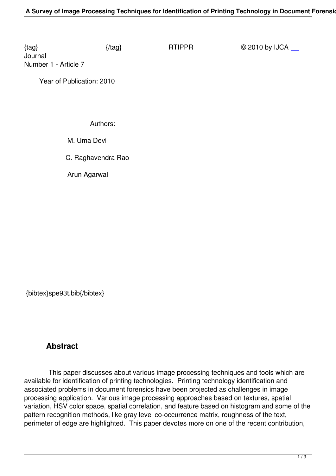Journal Number 1 - Article 7

 [Ye](/rtippr/number1/SPE93T.pdf)ar of Publication: 2010

Authors:

M. Uma Devi

C. Raghavendra Rao

Arun Agarwal

{bibtex}spe93t.bib{/bibtex}

## **Abstract**

 This paper discusses about various image processing techniques and tools which are available for identification of printing technologies. Printing technology identification and associated problems in document forensics have been projected as challenges in image processing application. Various image processing approaches based on textures, spatial variation, HSV color space, spatial correlation, and feature based on histogram and some of the pattern recognition methods, like gray level co-occurrence matrix, roughness of the text, perimeter of edge are highlighted. This paper devotes more on one of the recent contribution,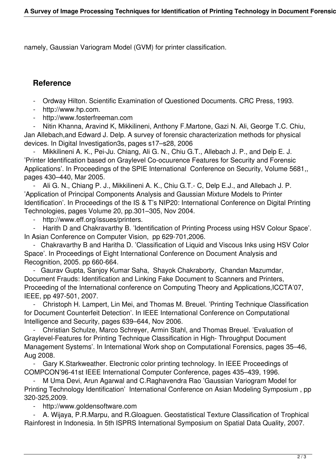namely, Gaussian Variogram Model (GVM) for printer classification.

## **Reference**

- Ordway Hilton. Scientific Examination of Questioned Documents. CRC Press, 1993.

- http://www.hp.com.
- http://www.fosterfreeman.com

 - Nitin Khanna, Aravind K, Mikkilineni, Anthony F.Martone, Gazi N. Ali, George T.C. Chiu, Jan Allebach,and Edward J. Delp. A survey of forensic characterization methods for physical devices. In Digital Investigation3s, pages s17–s28, 2006

Mikkilineni A. K., Pei-Ju. Chiang, Ali G. N., Chiu G.T., Allebach J. P., and Delp E. J. 'Printer Identification based on Graylevel Co-ocuurence Features for Security and Forensic Applications'. In Proceedings of the SPIE International Conference on Security, Volume 5681,, pages 430–440, Mar 2005.

 - Ali G. N., Chiang P. J., Mikkilineni A. K., Chiu G.T.- C, Delp E.J., and Allebach J. P. 'Application of Principal Components Analysis and Gaussian Mixture Models to Printer Identification'. In Proceedings of the IS & T's NIP20: International Conference on Digital Printing Technologies, pages Volume 20, pp.301–305, Nov 2004.

- http://www.eff.org/issues/printers.

Harith D and Chakravarthy B. 'Identification of Printing Process using HSV Colour Space'. In Asian Conference on Computer Vision, pp 629-701,2006.

 - Chakravarthy B and Haritha D. 'Classification of Liquid and Viscous Inks using HSV Color Space'. In Proceedings of Eight International Conference on Document Analysis and Recognition, 2005. pp 660-664.

 - Gaurav Gupta, Sanjoy Kumar Saha, Shayok Chakraborty, Chandan Mazumdar, Document Frauds: Identification and Linking Fake Document to Scanners and Printers, Proceeding of the International conference on Computing Theory and Applications,ICCTA'07, IEEE, pp 497-501, 2007.

 - Christoph H. Lampert, Lin Mei, and Thomas M. Breuel. 'Printing Technique Classification for Document Counterfeit Detection'. In IEEE International Conference on Computational Intelligence and Security, pages 639–644, Nov 2006.

 - Christian Schulze, Marco Schreyer, Armin Stahl, and Thomas Breuel. 'Evaluation of Graylevel-Features for Printing Technique Classification in High- Throughput Document Management Systems'. In International Work shop on Computational Forensics, pages 35–46, Aug 2008.

 - Gary K.Starkweather. Electronic color printing technology. In IEEE Proceedings of COMPCON'96-41st IEEE International Computer Conference, pages 435–439, 1996.

 - M Uma Devi, Arun Agarwal and C.Raghavendra Rao 'Gaussian Variogram Model for Printing Technology Identification' International Conference on Asian Modeling Symposium , pp 320-325,2009.

http://www.goldensoftware.com

 - A. Wijaya, P.R.Marpu, and R.Gloaguen. Geostatistical Texture Classification of Trophical Rainforest in Indonesia. In 5th ISPRS International Symposium on Spatial Data Quality, 2007.